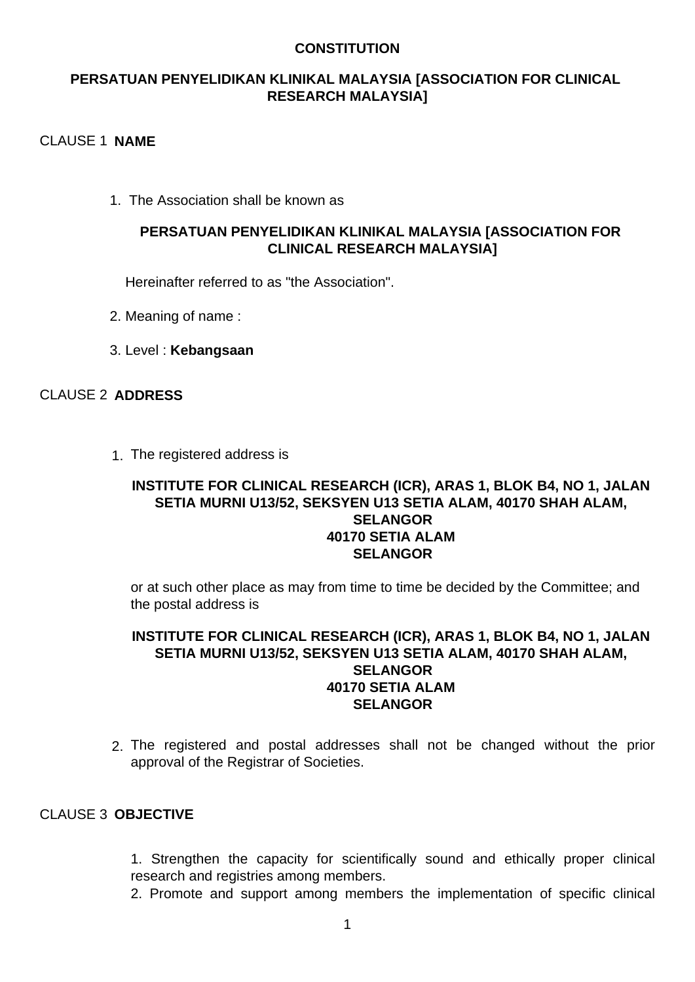### **CONSTITUTION**

# **PERSATUAN PENYELIDIKAN KLINIKAL MALAYSIA [ASSOCIATION FOR CLINICAL RESEARCH MALAYSIA]**

### CLAUSE 1 **NAME**

1. The Association shall be known as

## **PERSATUAN PENYELIDIKAN KLINIKAL MALAYSIA [ASSOCIATION FOR CLINICAL RESEARCH MALAYSIA]**

Hereinafter referred to as "the Association".

- 2. Meaning of name :
- 3. Level : **Kebangsaan**

# CLAUSE 2 **ADDRESS**

1. The registered address is

#### **INSTITUTE FOR CLINICAL RESEARCH (ICR), ARAS 1, BLOK B4, NO 1, JALAN SETIA MURNI U13/52, SEKSYEN U13 SETIA ALAM, 40170 SHAH ALAM, SELANGOR 40170 SETIA ALAM SELANGOR**

or at such other place as may from time to time be decided by the Committee; and the postal address is

## **INSTITUTE FOR CLINICAL RESEARCH (ICR), ARAS 1, BLOK B4, NO 1, JALAN SETIA MURNI U13/52, SEKSYEN U13 SETIA ALAM, 40170 SHAH ALAM, SELANGOR 40170 SETIA ALAM SELANGOR**

2. The registered and postal addresses shall not be changed without the prior approval of the Registrar of Societies.

### CLAUSE 3 **OBJECTIVE**

1. Strengthen the capacity for scientifically sound and ethically proper clinical research and registries among members.

2. Promote and support among members the implementation of specific clinical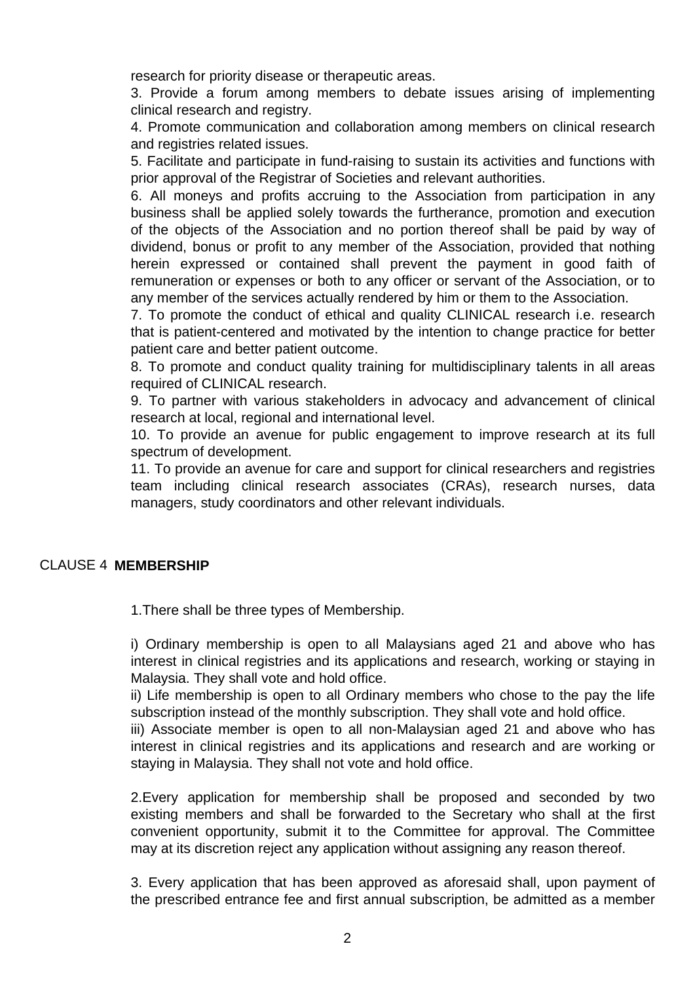research for priority disease or therapeutic areas.

3. Provide a forum among members to debate issues arising of implementing clinical research and registry.

4. Promote communication and collaboration among members on clinical research and registries related issues.

5. Facilitate and participate in fund-raising to sustain its activities and functions with prior approval of the Registrar of Societies and relevant authorities.

6. All moneys and profits accruing to the Association from participation in any business shall be applied solely towards the furtherance, promotion and execution of the objects of the Association and no portion thereof shall be paid by way of dividend, bonus or profit to any member of the Association, provided that nothing herein expressed or contained shall prevent the payment in good faith of remuneration or expenses or both to any officer or servant of the Association, or to any member of the services actually rendered by him or them to the Association.

7. To promote the conduct of ethical and quality CLINICAL research i.e. research that is patient-centered and motivated by the intention to change practice for better patient care and better patient outcome.

8. To promote and conduct quality training for multidisciplinary talents in all areas required of CLINICAL research.

9. To partner with various stakeholders in advocacy and advancement of clinical research at local, regional and international level.

10. To provide an avenue for public engagement to improve research at its full spectrum of development.

11. To provide an avenue for care and support for clinical researchers and registries team including clinical research associates (CRAs), research nurses, data managers, study coordinators and other relevant individuals.

# CLAUSE 4 **MEMBERSHIP**

1.There shall be three types of Membership.

i) Ordinary membership is open to all Malaysians aged 21 and above who has interest in clinical registries and its applications and research, working or staying in Malaysia. They shall vote and hold office.

ii) Life membership is open to all Ordinary members who chose to the pay the life subscription instead of the monthly subscription. They shall vote and hold office.

iii) Associate member is open to all non-Malaysian aged 21 and above who has interest in clinical registries and its applications and research and are working or staying in Malaysia. They shall not vote and hold office.

2.Every application for membership shall be proposed and seconded by two existing members and shall be forwarded to the Secretary who shall at the first convenient opportunity, submit it to the Committee for approval. The Committee may at its discretion reject any application without assigning any reason thereof.

3. Every application that has been approved as aforesaid shall, upon payment of the prescribed entrance fee and first annual subscription, be admitted as a member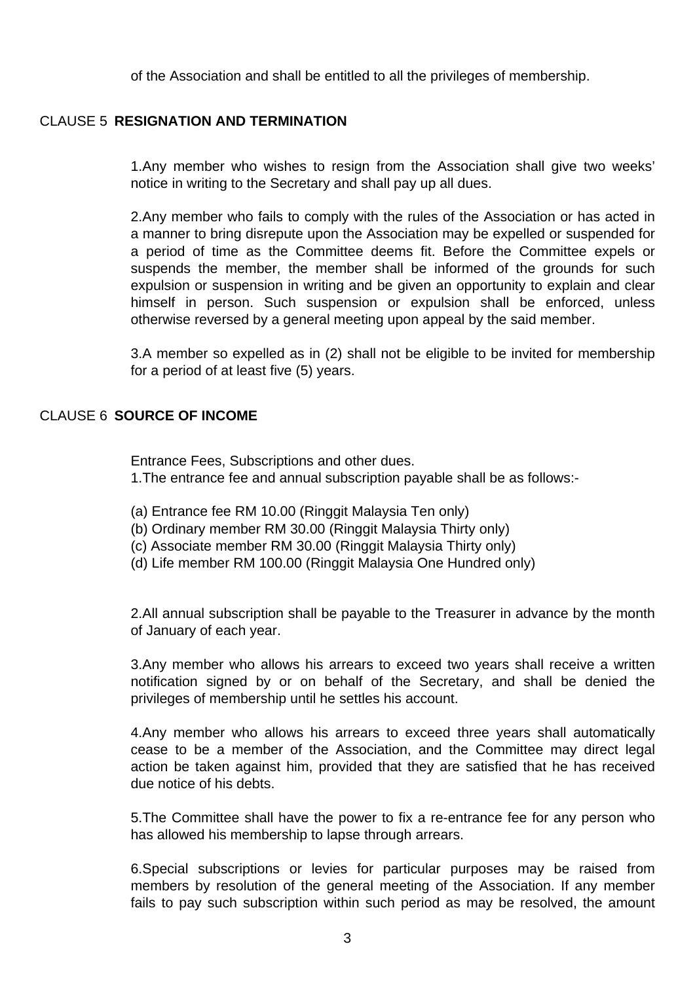of the Association and shall be entitled to all the privileges of membership.

## CLAUSE 5 **RESIGNATION AND TERMINATION**

1.Any member who wishes to resign from the Association shall give two weeks' notice in writing to the Secretary and shall pay up all dues.

2.Any member who fails to comply with the rules of the Association or has acted in a manner to bring disrepute upon the Association may be expelled or suspended for a period of time as the Committee deems fit. Before the Committee expels or suspends the member, the member shall be informed of the grounds for such expulsion or suspension in writing and be given an opportunity to explain and clear himself in person. Such suspension or expulsion shall be enforced, unless otherwise reversed by a general meeting upon appeal by the said member.

3.A member so expelled as in (2) shall not be eligible to be invited for membership for a period of at least five (5) years.

## CLAUSE 6 **SOURCE OF INCOME**

Entrance Fees, Subscriptions and other dues. 1.The entrance fee and annual subscription payable shall be as follows:-

- (a) Entrance fee RM 10.00 (Ringgit Malaysia Ten only)
- (b) Ordinary member RM 30.00 (Ringgit Malaysia Thirty only)
- (c) Associate member RM 30.00 (Ringgit Malaysia Thirty only)
- (d) Life member RM 100.00 (Ringgit Malaysia One Hundred only)

2.All annual subscription shall be payable to the Treasurer in advance by the month of January of each year.

3.Any member who allows his arrears to exceed two years shall receive a written notification signed by or on behalf of the Secretary, and shall be denied the privileges of membership until he settles his account.

4.Any member who allows his arrears to exceed three years shall automatically cease to be a member of the Association, and the Committee may direct legal action be taken against him, provided that they are satisfied that he has received due notice of his debts.

5.The Committee shall have the power to fix a re-entrance fee for any person who has allowed his membership to lapse through arrears.

6.Special subscriptions or levies for particular purposes may be raised from members by resolution of the general meeting of the Association. If any member fails to pay such subscription within such period as may be resolved, the amount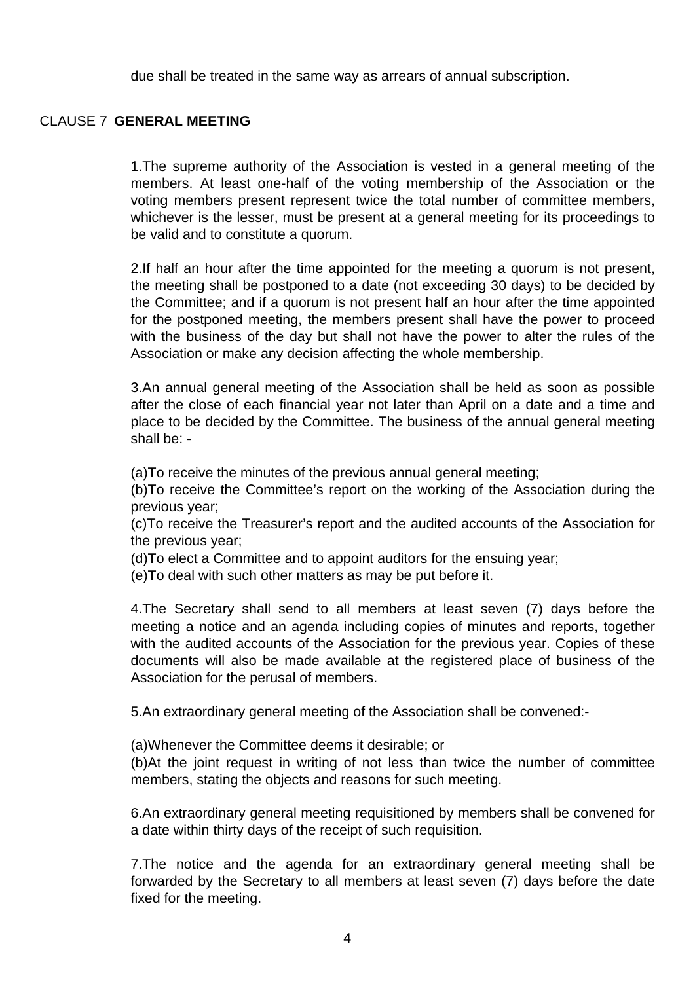due shall be treated in the same way as arrears of annual subscription.

## CLAUSE 7 **GENERAL MEETING**

1.The supreme authority of the Association is vested in a general meeting of the members. At least one-half of the voting membership of the Association or the voting members present represent twice the total number of committee members, whichever is the lesser, must be present at a general meeting for its proceedings to be valid and to constitute a quorum.

2.If half an hour after the time appointed for the meeting a quorum is not present, the meeting shall be postponed to a date (not exceeding 30 days) to be decided by the Committee; and if a quorum is not present half an hour after the time appointed for the postponed meeting, the members present shall have the power to proceed with the business of the day but shall not have the power to alter the rules of the Association or make any decision affecting the whole membership.

3.An annual general meeting of the Association shall be held as soon as possible after the close of each financial year not later than April on a date and a time and place to be decided by the Committee. The business of the annual general meeting shall be: -

(a)To receive the minutes of the previous annual general meeting;

(b)To receive the Committee's report on the working of the Association during the previous year;

(c)To receive the Treasurer's report and the audited accounts of the Association for the previous year;

(d)To elect a Committee and to appoint auditors for the ensuing year;

(e)To deal with such other matters as may be put before it.

4.The Secretary shall send to all members at least seven (7) days before the meeting a notice and an agenda including copies of minutes and reports, together with the audited accounts of the Association for the previous year. Copies of these documents will also be made available at the registered place of business of the Association for the perusal of members.

5.An extraordinary general meeting of the Association shall be convened:-

(a)Whenever the Committee deems it desirable; or

(b)At the joint request in writing of not less than twice the number of committee members, stating the objects and reasons for such meeting.

6.An extraordinary general meeting requisitioned by members shall be convened for a date within thirty days of the receipt of such requisition.

7.The notice and the agenda for an extraordinary general meeting shall be forwarded by the Secretary to all members at least seven (7) days before the date fixed for the meeting.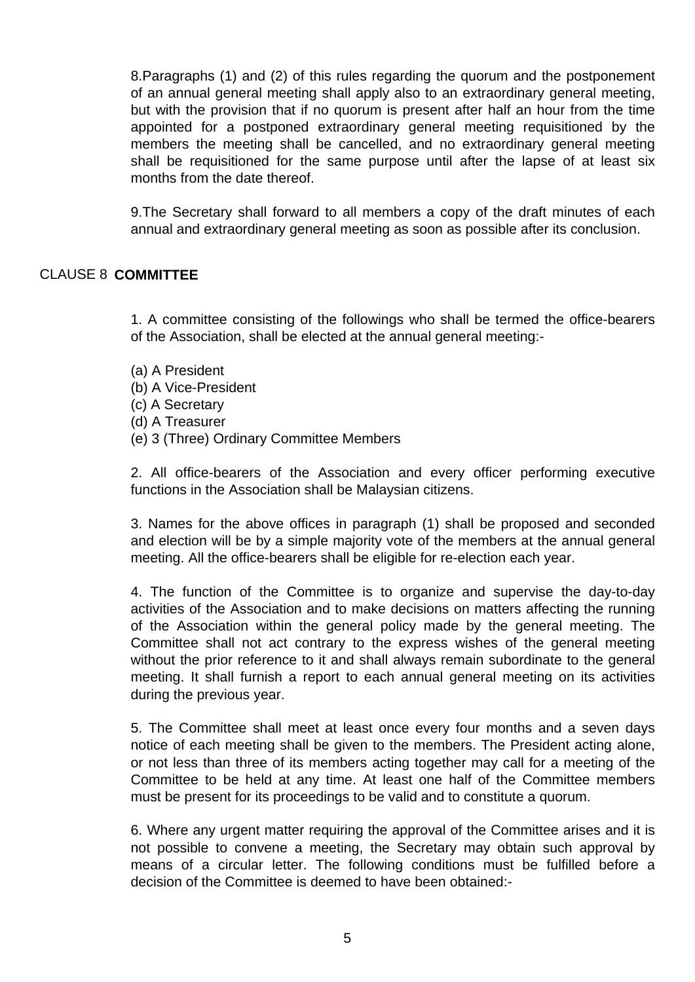8.Paragraphs (1) and (2) of this rules regarding the quorum and the postponement of an annual general meeting shall apply also to an extraordinary general meeting, but with the provision that if no quorum is present after half an hour from the time appointed for a postponed extraordinary general meeting requisitioned by the members the meeting shall be cancelled, and no extraordinary general meeting shall be requisitioned for the same purpose until after the lapse of at least six months from the date thereof.

9.The Secretary shall forward to all members a copy of the draft minutes of each annual and extraordinary general meeting as soon as possible after its conclusion.

## CLAUSE 8 **COMMITTEE**

1. A committee consisting of the followings who shall be termed the office-bearers of the Association, shall be elected at the annual general meeting:-

- (a) A President
- (b) A Vice-President
- (c) A Secretary
- (d) A Treasurer
- (e) 3 (Three) Ordinary Committee Members

2. All office-bearers of the Association and every officer performing executive functions in the Association shall be Malaysian citizens.

3. Names for the above offices in paragraph (1) shall be proposed and seconded and election will be by a simple majority vote of the members at the annual general meeting. All the office-bearers shall be eligible for re-election each year.

4. The function of the Committee is to organize and supervise the day-to-day activities of the Association and to make decisions on matters affecting the running of the Association within the general policy made by the general meeting. The Committee shall not act contrary to the express wishes of the general meeting without the prior reference to it and shall always remain subordinate to the general meeting. It shall furnish a report to each annual general meeting on its activities during the previous year.

5. The Committee shall meet at least once every four months and a seven days notice of each meeting shall be given to the members. The President acting alone, or not less than three of its members acting together may call for a meeting of the Committee to be held at any time. At least one half of the Committee members must be present for its proceedings to be valid and to constitute a quorum.

6. Where any urgent matter requiring the approval of the Committee arises and it is not possible to convene a meeting, the Secretary may obtain such approval by means of a circular letter. The following conditions must be fulfilled before a decision of the Committee is deemed to have been obtained:-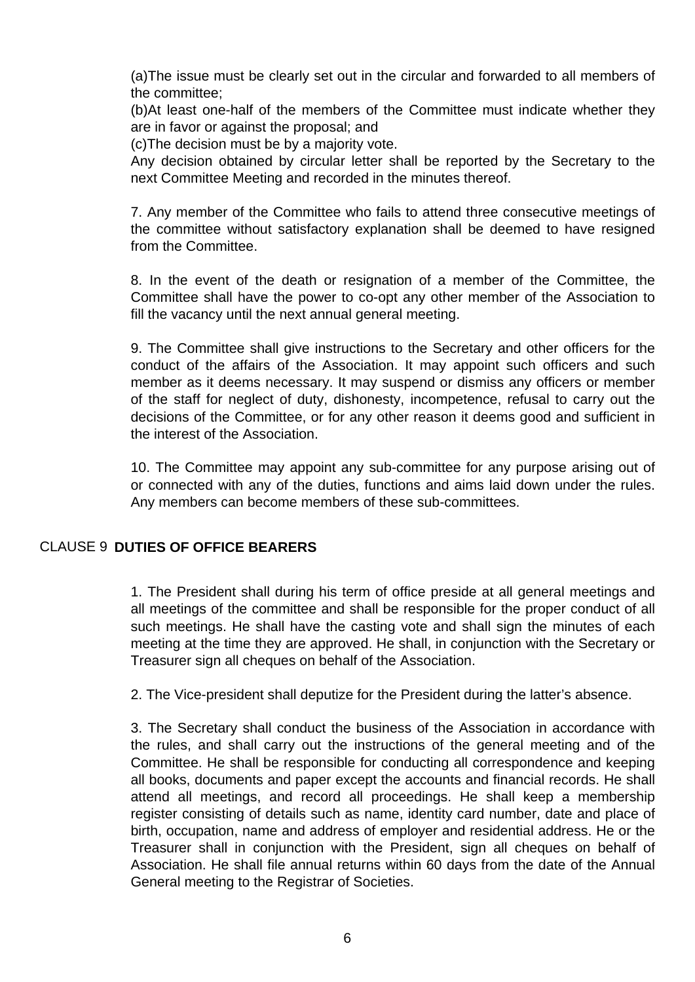(a)The issue must be clearly set out in the circular and forwarded to all members of the committee;

(b)At least one-half of the members of the Committee must indicate whether they are in favor or against the proposal; and

(c)The decision must be by a majority vote.

Any decision obtained by circular letter shall be reported by the Secretary to the next Committee Meeting and recorded in the minutes thereof.

7. Any member of the Committee who fails to attend three consecutive meetings of the committee without satisfactory explanation shall be deemed to have resigned from the Committee.

8. In the event of the death or resignation of a member of the Committee, the Committee shall have the power to co-opt any other member of the Association to fill the vacancy until the next annual general meeting.

9. The Committee shall give instructions to the Secretary and other officers for the conduct of the affairs of the Association. It may appoint such officers and such member as it deems necessary. It may suspend or dismiss any officers or member of the staff for neglect of duty, dishonesty, incompetence, refusal to carry out the decisions of the Committee, or for any other reason it deems good and sufficient in the interest of the Association.

10. The Committee may appoint any sub-committee for any purpose arising out of or connected with any of the duties, functions and aims laid down under the rules. Any members can become members of these sub-committees.

# CLAUSE 9 **DUTIES OF OFFICE BEARERS**

1. The President shall during his term of office preside at all general meetings and all meetings of the committee and shall be responsible for the proper conduct of all such meetings. He shall have the casting vote and shall sign the minutes of each meeting at the time they are approved. He shall, in conjunction with the Secretary or Treasurer sign all cheques on behalf of the Association.

2. The Vice-president shall deputize for the President during the latter's absence.

3. The Secretary shall conduct the business of the Association in accordance with the rules, and shall carry out the instructions of the general meeting and of the Committee. He shall be responsible for conducting all correspondence and keeping all books, documents and paper except the accounts and financial records. He shall attend all meetings, and record all proceedings. He shall keep a membership register consisting of details such as name, identity card number, date and place of birth, occupation, name and address of employer and residential address. He or the Treasurer shall in conjunction with the President, sign all cheques on behalf of Association. He shall file annual returns within 60 days from the date of the Annual General meeting to the Registrar of Societies.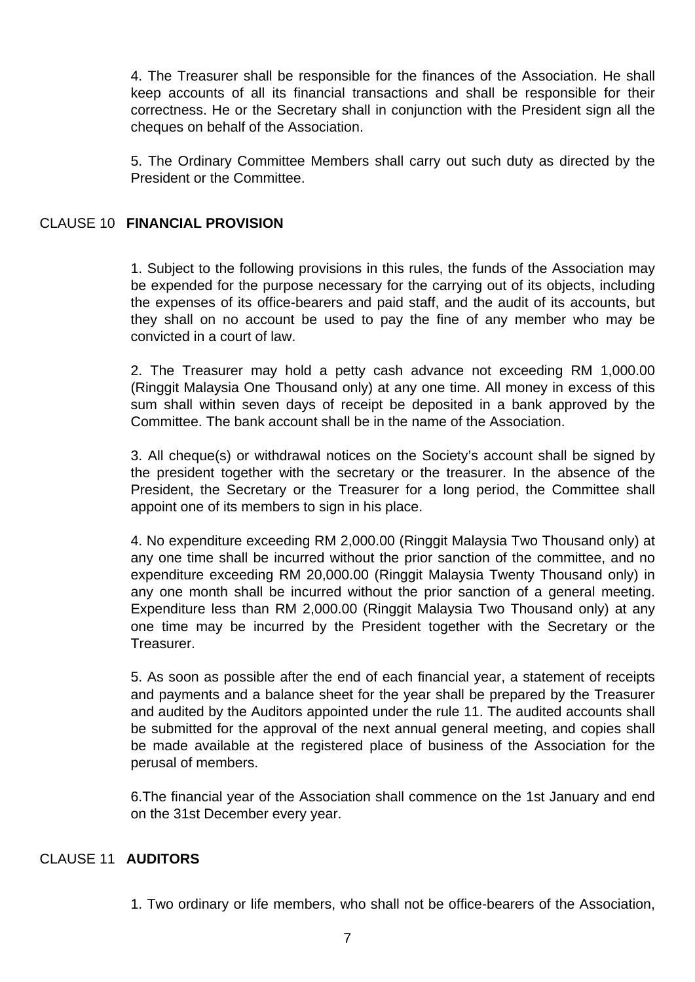4. The Treasurer shall be responsible for the finances of the Association. He shall keep accounts of all its financial transactions and shall be responsible for their correctness. He or the Secretary shall in conjunction with the President sign all the cheques on behalf of the Association.

5. The Ordinary Committee Members shall carry out such duty as directed by the President or the Committee.

## CLAUSE 10 **FINANCIAL PROVISION**

1. Subject to the following provisions in this rules, the funds of the Association may be expended for the purpose necessary for the carrying out of its objects, including the expenses of its office-bearers and paid staff, and the audit of its accounts, but they shall on no account be used to pay the fine of any member who may be convicted in a court of law.

2. The Treasurer may hold a petty cash advance not exceeding RM 1,000.00 (Ringgit Malaysia One Thousand only) at any one time. All money in excess of this sum shall within seven days of receipt be deposited in a bank approved by the Committee. The bank account shall be in the name of the Association.

3. All cheque(s) or withdrawal notices on the Society's account shall be signed by the president together with the secretary or the treasurer. In the absence of the President, the Secretary or the Treasurer for a long period, the Committee shall appoint one of its members to sign in his place.

4. No expenditure exceeding RM 2,000.00 (Ringgit Malaysia Two Thousand only) at any one time shall be incurred without the prior sanction of the committee, and no expenditure exceeding RM 20,000.00 (Ringgit Malaysia Twenty Thousand only) in any one month shall be incurred without the prior sanction of a general meeting. Expenditure less than RM 2,000.00 (Ringgit Malaysia Two Thousand only) at any one time may be incurred by the President together with the Secretary or the **Treasurer.** 

5. As soon as possible after the end of each financial year, a statement of receipts and payments and a balance sheet for the year shall be prepared by the Treasurer and audited by the Auditors appointed under the rule 11. The audited accounts shall be submitted for the approval of the next annual general meeting, and copies shall be made available at the registered place of business of the Association for the perusal of members.

6.The financial year of the Association shall commence on the 1st January and end on the 31st December every year.

# CLAUSE 11 **AUDITORS**

1. Two ordinary or life members, who shall not be office-bearers of the Association,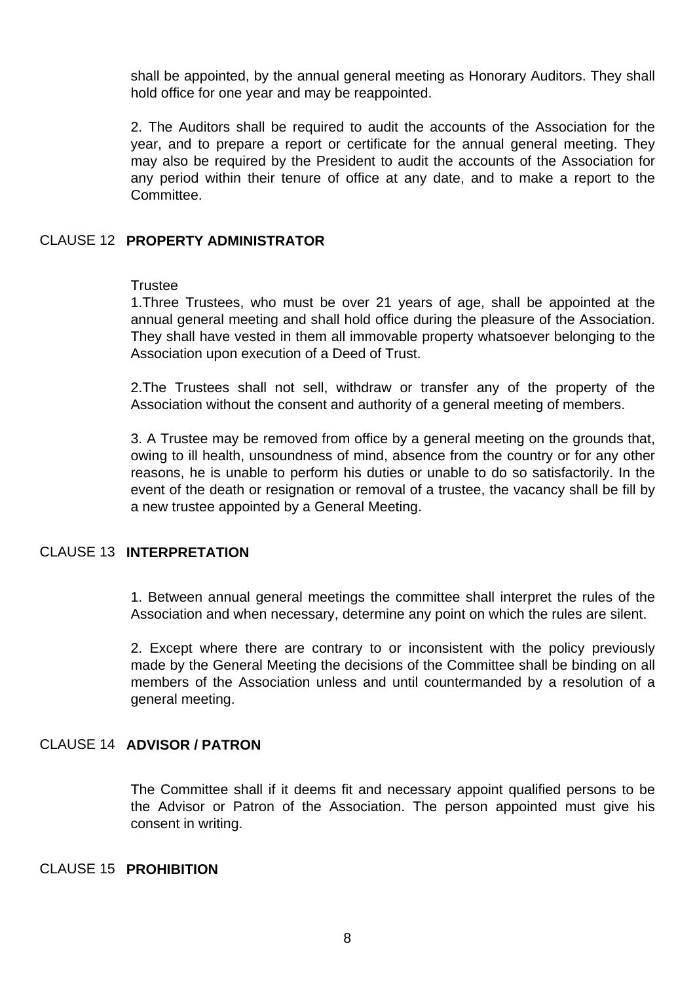shall be appointed, by the annual general meeting as Honorary Auditors. They shall hold office for one year and may be reappointed.

2. The Auditors shall be required to audit the accounts of the Association for the year, and to prepare a report or certificate for the annual general meeting. They may also be required by the President to audit the accounts of the Association for any period within their tenure of office at any date, and to make a report to the Committee.

#### CLAUSE 12 **PROPERTY ADMINISTRATOR**

#### **Trustee**

1.Three Trustees, who must be over 21 years of age, shall be appointed at the annual general meeting and shall hold office during the pleasure of the Association. They shall have vested in them all immovable property whatsoever belonging to the Association upon execution of a Deed of Trust.

2.The Trustees shall not sell, withdraw or transfer any of the property of the Association without the consent and authority of a general meeting of members.

3. A Trustee may be removed from office by a general meeting on the grounds that, owing to ill health, unsoundness of mind, absence from the country or for any other reasons, he is unable to perform his duties or unable to do so satisfactorily. In the event of the death or resignation or removal of a trustee, the vacancy shall be fill by a new trustee appointed by a General Meeting.

#### CLAUSE 13 **INTERPRETATION**

1. Between annual general meetings the committee shall interpret the rules of the Association and when necessary, determine any point on which the rules are silent.

2. Except where there are contrary to or inconsistent with the policy previously made by the General Meeting the decisions of the Committee shall be binding on all members of the Association unless and until countermanded by a resolution of a general meeting.

#### CLAUSE 14 **ADVISOR / PATRON**

The Committee shall if it deems fit and necessary appoint qualified persons to be the Advisor or Patron of the Association. The person appointed must give his consent in writing.

#### CLAUSE 15 **PROHIBITION**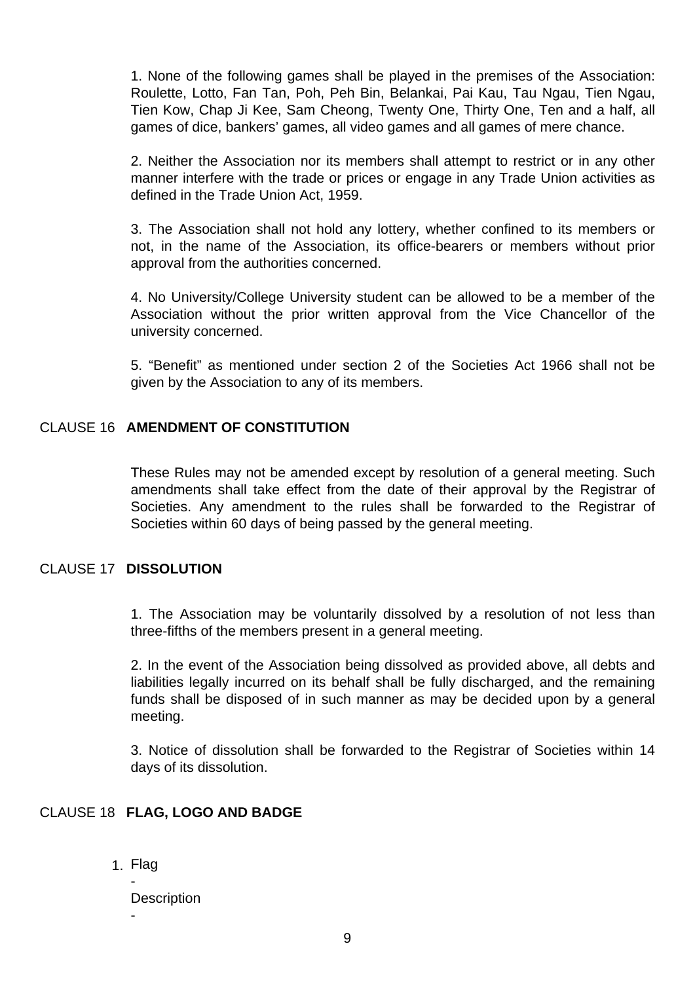1. None of the following games shall be played in the premises of the Association: Roulette, Lotto, Fan Tan, Poh, Peh Bin, Belankai, Pai Kau, Tau Ngau, Tien Ngau, Tien Kow, Chap Ji Kee, Sam Cheong, Twenty One, Thirty One, Ten and a half, all games of dice, bankers' games, all video games and all games of mere chance.

2. Neither the Association nor its members shall attempt to restrict or in any other manner interfere with the trade or prices or engage in any Trade Union activities as defined in the Trade Union Act, 1959.

3. The Association shall not hold any lottery, whether confined to its members or not, in the name of the Association, its office-bearers or members without prior approval from the authorities concerned.

4. No University/College University student can be allowed to be a member of the Association without the prior written approval from the Vice Chancellor of the university concerned.

5. "Benefit" as mentioned under section 2 of the Societies Act 1966 shall not be given by the Association to any of its members.

# CLAUSE 16 **AMENDMENT OF CONSTITUTION**

These Rules may not be amended except by resolution of a general meeting. Such amendments shall take effect from the date of their approval by the Registrar of Societies. Any amendment to the rules shall be forwarded to the Registrar of Societies within 60 days of being passed by the general meeting.

## CLAUSE 17 **DISSOLUTION**

1. The Association may be voluntarily dissolved by a resolution of not less than three-fifths of the members present in a general meeting.

2. In the event of the Association being dissolved as provided above, all debts and liabilities legally incurred on its behalf shall be fully discharged, and the remaining funds shall be disposed of in such manner as may be decided upon by a general meeting.

3. Notice of dissolution shall be forwarded to the Registrar of Societies within 14 days of its dissolution.

#### CLAUSE 18 **FLAG, LOGO AND BADGE**

1. Flag -

-

**Description**